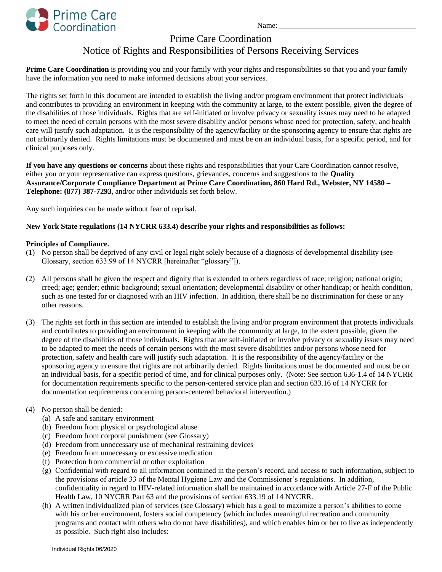

Name:

## Prime Care Coordination

# Notice of Rights and Responsibilities of Persons Receiving Services

Prime Care Coordination is providing you and your family with your rights and responsibilities so that you and your family have the information you need to make informed decisions about your services.

The rights set forth in this document are intended to establish the living and/or program environment that protect individuals and contributes to providing an environment in keeping with the community at large, to the extent possible, given the degree of the disabilities of those individuals. Rights that are self-initiated or involve privacy or sexuality issues may need to be adapted to meet the need of certain persons with the most severe disability and/or persons whose need for protection, safety, and health care will justify such adaptation. It is the responsibility of the agency/facility or the sponsoring agency to ensure that rights are not arbitrarily denied. Rights limitations must be documented and must be on an individual basis, for a specific period, and for clinical purposes only.

**If you have any questions or concerns** about these rights and responsibilities that your Care Coordination cannot resolve, either you or your representative can express questions, grievances, concerns and suggestions to the **Quality Assurance/Corporate Compliance Department at Prime Care Coordination, 860 Hard Rd., Webster, NY 14580 – Telephone: (877) 387-7293**, and/or other individuals set forth below.

Any such inquiries can be made without fear of reprisal.

### **New York State regulations (14 NYCRR 633.4) describe your rights and responsibilities as follows:**

#### **Principles of Compliance.**

- (1) No person shall be deprived of any civil or legal right solely because of a diagnosis of developmental disability (see Glossary, section 633.99 of 14 NYCRR [hereinafter "glossary"]).
- (2) All persons shall be given the respect and dignity that is extended to others regardless of race; religion; national origin; creed; age; gender; ethnic background; sexual orientation; developmental disability or other handicap; or health condition, such as one tested for or diagnosed with an HIV infection. In addition, there shall be no discrimination for these or any other reasons.
- (3) The rights set forth in this section are intended to establish the living and/or program environment that protects individuals and contributes to providing an environment in keeping with the community at large, to the extent possible, given the degree of the disabilities of those individuals. Rights that are self-initiated or involve privacy or sexuality issues may need to be adapted to meet the needs of certain persons with the most severe disabilities and/or persons whose need for protection, safety and health care will justify such adaptation. It is the responsibility of the agency/facility or the sponsoring agency to ensure that rights are not arbitrarily denied. Rights limitations must be documented and must be on an individual basis, for a specific period of time, and for clinical purposes only. (Note: See section 636-1.4 of 14 NYCRR for documentation requirements specific to the person-centered service plan and section 633.16 of 14 NYCRR for documentation requirements concerning person-centered behavioral intervention.)
- (4) No person shall be denied:
	- (a) A safe and sanitary environment
	- (b) Freedom from physical or psychological abuse
	- (c) Freedom from corporal punishment (see Glossary)
	- (d) Freedom from unnecessary use of mechanical restraining devices
	- (e) Freedom from unnecessary or excessive medication
	- (f) Protection from commercial or other exploitation
	- (g) Confidential with regard to all information contained in the person's record, and access to such information, subject to the provisions of article 33 of the Mental Hygiene Law and the Commissioner's regulations. In addition, confidentiality in regard to HIV-related information shall be maintained in accordance with Article 27-F of the Public Health Law, 10 NYCRR Part 63 and the provisions of section 633.19 of 14 NYCRR.
	- (h) A written individualized plan of services (see Glossary) which has a goal to maximize a person's abilities to come with his or her environment, fosters social competency (which includes meaningful recreation and community programs and contact with others who do not have disabilities), and which enables him or her to live as independently as possible. Such right also includes: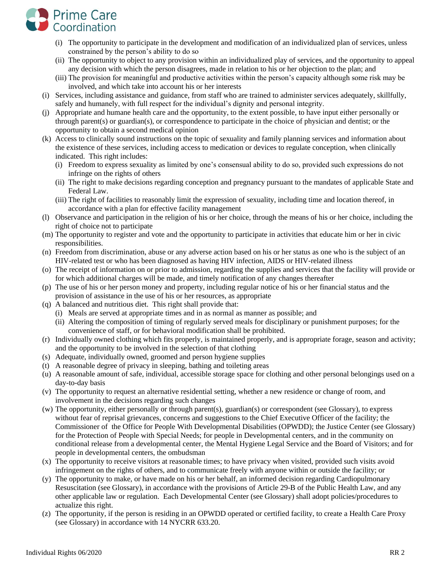

- (i) The opportunity to participate in the development and modification of an individualized plan of services, unless constrained by the person's ability to do so
- (ii) The opportunity to object to any provision within an individualized play of services, and the opportunity to appeal any decision with which the person disagrees, made in relation to his or her objection to the plan; and
- (iii) The provision for meaningful and productive activities within the person's capacity although some risk may be involved, and which take into account his or her interests
- (i) Services, including assistance and guidance, from staff who are trained to administer services adequately, skillfully, safely and humanely, with full respect for the individual's dignity and personal integrity.
- (j) Appropriate and humane health care and the opportunity, to the extent possible, to have input either personally or through parent(s) or guardian(s), or correspondence to participate in the choice of physician and dentist; or the opportunity to obtain a second medical opinion
- (k) Access to clinically sound instructions on the topic of sexuality and family planning services and information about the existence of these services, including access to medication or devices to regulate conception, when clinically indicated. This right includes:
	- (i) Freedom to express sexuality as limited by one's consensual ability to do so, provided such expressions do not infringe on the rights of others
	- (ii) The right to make decisions regarding conception and pregnancy pursuant to the mandates of applicable State and Federal Law.
	- (iii) The right of facilities to reasonably limit the expression of sexuality, including time and location thereof, in accordance with a plan for effective facility management
- (l) Observance and participation in the religion of his or her choice, through the means of his or her choice, including the right of choice not to participate
- (m) The opportunity to register and vote and the opportunity to participate in activities that educate him or her in civic responsibilities.
- (n) Freedom from discrimination, abuse or any adverse action based on his or her status as one who is the subject of an HIV-related test or who has been diagnosed as having HIV infection, AIDS or HIV-related illness
- (o) The receipt of information on or prior to admission, regarding the supplies and services that the facility will provide or for which additional charges will be made, and timely notification of any changes thereafter
- (p) The use of his or her person money and property, including regular notice of his or her financial status and the provision of assistance in the use of his or her resources, as appropriate
- (q) A balanced and nutritious diet. This right shall provide that:
	- (i) Meals are served at appropriate times and in as normal as manner as possible; and
	- (ii) Altering the composition of timing of regularly served meals for disciplinary or punishment purposes; for the convenience of staff, or for behavioral modification shall be prohibited.
- (r) Individually owned clothing which fits properly, is maintained properly, and is appropriate forage, season and activity; and the opportunity to be involved in the selection of that clothing
- (s) Adequate, individually owned, groomed and person hygiene supplies
- (t) A reasonable degree of privacy in sleeping, bathing and toileting areas
- (u) A reasonable amount of safe, individual, accessible storage space for clothing and other personal belongings used on a day-to-day basis
- (v) The opportunity to request an alternative residential setting, whether a new residence or change of room, and involvement in the decisions regarding such changes
- (w) The opportunity, either personally or through parent(s), guardian(s) or correspondent (see Glossary), to express without fear of reprisal grievances, concerns and suggestions to the Chief Executive Officer of the facility; the Commissioner of the Office for People With Developmental Disabilities (OPWDD); the Justice Center (see Glossary) for the Protection of People with Special Needs; for people in Developmental centers, and in the community on conditional release from a developmental center, the Mental Hygiene Legal Service and the Board of Visitors; and for people in developmental centers, the ombudsman
- (x) The opportunity to receive visitors at reasonable times; to have privacy when visited, provided such visits avoid infringement on the rights of others, and to communicate freely with anyone within or outside the facility; or
- (y) The opportunity to make, or have made on his or her behalf, an informed decision regarding Cardiopulmonary Resuscitation (see Glossary), in accordance with the provisions of Article 29-B of the Public Health Law, and any other applicable law or regulation. Each Developmental Center (see Glossary) shall adopt policies/procedures to actualize this right.
- (z) The opportunity, if the person is residing in an OPWDD operated or certified facility, to create a Health Care Proxy (see Glossary) in accordance with 14 NYCRR 633.20.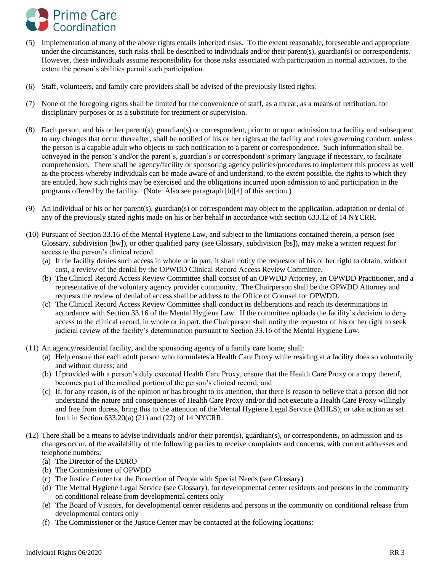

- (5) Implementation of many of the above rights entails inherited risks. To the extent reasonable, foreseeable and appropriate under the circumstances, such risks shall be described to individuals and/or their parent(s), guardian(s) or correspondents. However, these individuals assume responsibility for those risks associated with participation in normal activities, to the extent the person's abilities permit such participation.
- (6) Staff, volunteers, and family care providers shall be advised of the previously listed rights.
- (7) None of the foregoing rights shall be limited for the convenience of staff, as a threat, as a means of retribution, for disciplinary purposes or as a substitute for treatment or supervision.
- (8) Each person, and his or her parent(s), guardian(s) or correspondent, prior to or upon admission to a facility and subsequent to any changes that occur thereafter, shall be notified of his or her rights at the facility and rules governing conduct, unless the person is a capable adult who objects to such notification to a parent or correspondence. Such information shall be conveyed in the person's and/or the parent's, guardian's or correspondent's primary language if necessary, to facilitate comprehension. There shall be agency/facility or sponsoring agency policies/procedures to implement this process as well as the process whereby individuals can be made aware of and understand, to the extent possible, the rights to which they are entitled, how such rights may be exercised and the obligations incurred upon admission to and participation in the programs offered by the facility. (Note: Also see paragraph [b][4] of this section.)
- (9) An individual or his or her parent(s), guardian(s) or correspondent may object to the application, adaptation or denial of any of the previously stated rights made on his or her behalf in accordance with section 633.12 of 14 NYCRR.
- (10) Pursuant of Section 33.16 of the Mental Hygiene Law, and subject to the limitations contained therein, a person (see Glossary, subdivision [bw]), or other qualified party (see Glossary, subdivision [bs]), may make a written request for access to the person's clinical record.
	- (a) If the facility denies such access in whole or in part, it shall notify the requestor of his or her right to obtain, without cost, a review of the denial by the OPWDD Clinical Record Access Review Committee.
	- (b) The Clinical Record Access Review Committee shall consist of an OPWDD Attorney, an OPWDD Practitioner, and a representative of the voluntary agency provider community. The Chairperson shall be the OPWDD Attorney and requests the review of denial of access shall be address to the Office of Counsel for OPWDD.
	- (c) The Clinical Record Access Review Committee shall conduct its deliberations and reach its determinations in accordance with Section 33.16 of the Mental Hygiene Law. If the committee uploads the facility's decision to deny access to the clinical record, in whole or in part, the Chairperson shall notify the requestor of his or her right to seek judicial review of the facility's determination pursuant to Section 33.16 of the Mental Hygiene Law.
- (11) An agency/residential facility, and the sponsoring agency of a family care home, shall:
	- (a) Help ensure that each adult person who formulates a Health Care Proxy while residing at a facility does so voluntarily and without duress; and
	- (b) If provided with a person's duly executed Health Care Proxy, ensure that the Health Care Proxy or a copy thereof, becomes part of the medical portion of the person's clinical record; and
	- (c) If, for any reason, is of the opinion or has brought to its attention, that there is reason to believe that a person did not understand the nature and consequences of Health Care Proxy and/or did not execute a Health Care Proxy willingly and free from duress, bring this to the attention of the Mental Hygiene Legal Service (MHLS); or take action as set forth in Section 633.20(a) (21) and (22) of 14 NYCRR.
- $(12)$  There shall be a means to advise individuals and/or their parent(s), guardian(s), or correspondents, on admission and as changes occur, of the availability of the following parties to receive complaints and concerns, with current addresses and telephone numbers:
	- (a) The Director of the DDRO
	- (b) The Commissioner of OPWDD
	- (c) The Justice Center for the Protection of People with Special Needs (see Glossary)
	- (d) The Mental Hygiene Legal Service (see Glossary), for developmental center residents and persons in the community on conditional release from developmental centers only
	- (e) The Board of Visitors, for developmental center residents and persons in the community on conditional release from developmental centers only
	- (f) The Commissioner or the Justice Center may be contacted at the following locations: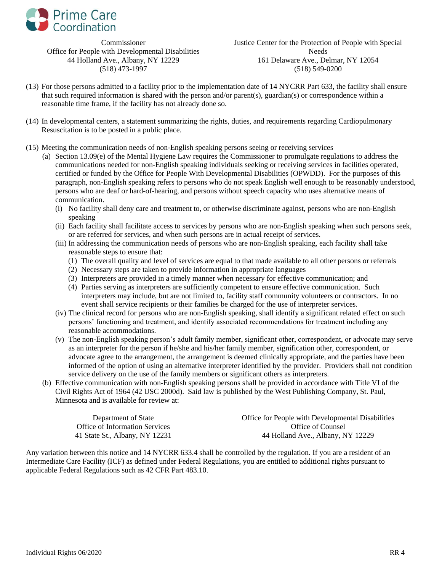

Commissioner Office for People with Developmental Disabilities 44 Holland Ave., Albany, NY 12229 (518) 473-1997

Justice Center for the Protection of People with Special Needs 161 Delaware Ave., Delmar, NY 12054 (518) 549-0200

- (13) For those persons admitted to a facility prior to the implementation date of 14 NYCRR Part 633, the facility shall ensure that such required information is shared with the person and/or parent(s), guardian(s) or correspondence within a reasonable time frame, if the facility has not already done so.
- (14) In developmental centers, a statement summarizing the rights, duties, and requirements regarding Cardiopulmonary Resuscitation is to be posted in a public place.
- (15) Meeting the communication needs of non-English speaking persons seeing or receiving services
	- (a) Section 13.09(e) of the Mental Hygiene Law requires the Commissioner to promulgate regulations to address the communications needed for non-English speaking individuals seeking or receiving services in facilities operated, certified or funded by the Office for People With Developmental Disabilities (OPWDD). For the purposes of this paragraph, non-English speaking refers to persons who do not speak English well enough to be reasonably understood, persons who are deaf or hard-of-hearing, and persons without speech capacity who uses alternative means of communication.
		- (i) No facility shall deny care and treatment to, or otherwise discriminate against, persons who are non-English speaking
		- (ii) Each facility shall facilitate access to services by persons who are non-English speaking when such persons seek, or are referred for services, and when such persons are in actual receipt of services.
		- (iii) In addressing the communication needs of persons who are non-English speaking, each facility shall take reasonable steps to ensure that:
			- (1) The overall quality and level of services are equal to that made available to all other persons or referrals
			- (2) Necessary steps are taken to provide information in appropriate languages
			- (3) Interpreters are provided in a timely manner when necessary for effective communication; and
			- (4) Parties serving as interpreters are sufficiently competent to ensure effective communication. Such interpreters may include, but are not limited to, facility staff community volunteers or contractors. In no event shall service recipients or their families be charged for the use of interpreter services.
		- (iv) The clinical record for persons who are non-English speaking, shall identify a significant related effect on such persons' functioning and treatment, and identify associated recommendations for treatment including any reasonable accommodations.
		- (v) The non-English speaking person's adult family member, significant other, correspondent, or advocate may serve as an interpreter for the person if he/she and his/her family member, signification other, correspondent, or advocate agree to the arrangement, the arrangement is deemed clinically appropriate, and the parties have been informed of the option of using an alternative interpreter identified by the provider. Providers shall not condition service delivery on the use of the family members or significant others as interpreters.
	- (b) Effective communication with non-English speaking persons shall be provided in accordance with Title VI of the Civil Rights Act of 1964 (42 USC 2000d). Said law is published by the West Publishing Company, St. Paul, Minnesota and is available for review at:

| Department of State            | Office for People with Developmental Disabilities |
|--------------------------------|---------------------------------------------------|
| Office of Information Services | Office of Counsel                                 |
| 41 State St., Albany, NY 12231 | 44 Holland Ave., Albany, NY 12229                 |

Any variation between this notice and 14 NYCRR 633.4 shall be controlled by the regulation. If you are a resident of an Intermediate Care Facility (ICF) as defined under Federal Regulations, you are entitled to additional rights pursuant to applicable Federal Regulations such as 42 CFR Part 483.10.